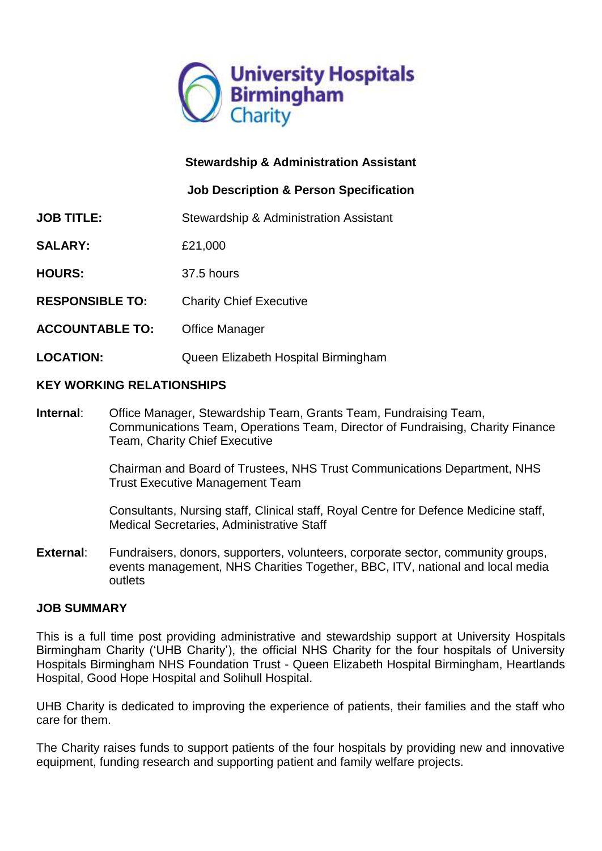

## **Stewardship & Administration Assistant**

### **Job Description & Person Specification**

- **JOB TITLE:** Stewardship & Administration Assistant
- **SALARY:** £21,000
- **HOURS:** 37.5 hours
- **RESPONSIBLE TO:** Charity Chief Executive
- **ACCOUNTABLE TO:** Office Manager
- **LOCATION:** Queen Elizabeth Hospital Birmingham

#### **KEY WORKING RELATIONSHIPS**

**Internal**: Office Manager, Stewardship Team, Grants Team, Fundraising Team, Communications Team, Operations Team, Director of Fundraising, Charity Finance Team, Charity Chief Executive

> Chairman and Board of Trustees, NHS Trust Communications Department, NHS Trust Executive Management Team

Consultants, Nursing staff, Clinical staff, Royal Centre for Defence Medicine staff, Medical Secretaries, Administrative Staff

**External**: Fundraisers, donors, supporters, volunteers, corporate sector, community groups, events management, NHS Charities Together, BBC, ITV, national and local media outlets

#### **JOB SUMMARY**

This is a full time post providing administrative and stewardship support at University Hospitals Birmingham Charity ('UHB Charity'), the official NHS Charity for the four hospitals of University Hospitals Birmingham NHS Foundation Trust - Queen Elizabeth Hospital Birmingham, Heartlands Hospital, Good Hope Hospital and Solihull Hospital.

UHB Charity is dedicated to improving the experience of patients, their families and the staff who care for them.

The Charity raises funds to support patients of the four hospitals by providing new and innovative equipment, funding research and supporting patient and family welfare projects.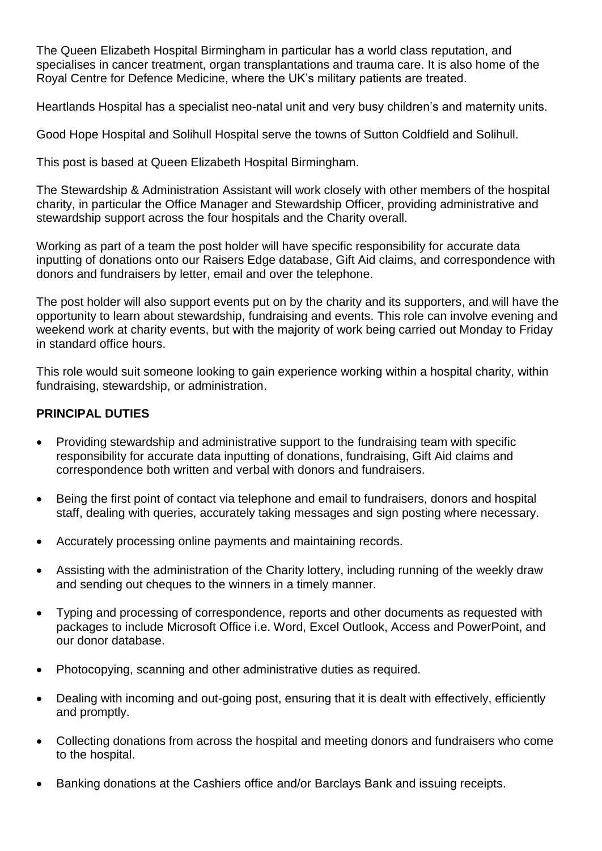The Queen Elizabeth Hospital Birmingham in particular has a world class reputation, and specialises in cancer treatment, organ transplantations and trauma care. It is also home of the Royal Centre for Defence Medicine, where the UK's military patients are treated.

Heartlands Hospital has a specialist neo-natal unit and very busy children's and maternity units.

Good Hope Hospital and Solihull Hospital serve the towns of Sutton Coldfield and Solihull.

This post is based at Queen Elizabeth Hospital Birmingham.

The Stewardship & Administration Assistant will work closely with other members of the hospital charity, in particular the Office Manager and Stewardship Officer, providing administrative and stewardship support across the four hospitals and the Charity overall.

Working as part of a team the post holder will have specific responsibility for accurate data inputting of donations onto our Raisers Edge database, Gift Aid claims, and correspondence with donors and fundraisers by letter, email and over the telephone.

The post holder will also support events put on by the charity and its supporters, and will have the opportunity to learn about stewardship, fundraising and events. This role can involve evening and weekend work at charity events, but with the majority of work being carried out Monday to Friday in standard office hours.

This role would suit someone looking to gain experience working within a hospital charity, within fundraising, stewardship, or administration.

### **PRINCIPAL DUTIES**

- Providing stewardship and administrative support to the fundraising team with specific responsibility for accurate data inputting of donations, fundraising, Gift Aid claims and correspondence both written and verbal with donors and fundraisers.
- Being the first point of contact via telephone and email to fundraisers, donors and hospital staff, dealing with queries, accurately taking messages and sign posting where necessary.
- Accurately processing online payments and maintaining records.
- Assisting with the administration of the Charity lottery, including running of the weekly draw and sending out cheques to the winners in a timely manner.
- Typing and processing of correspondence, reports and other documents as requested with packages to include Microsoft Office i.e. Word, Excel Outlook, Access and PowerPoint, and our donor database.
- Photocopying, scanning and other administrative duties as required.
- Dealing with incoming and out-going post, ensuring that it is dealt with effectively, efficiently and promptly.
- Collecting donations from across the hospital and meeting donors and fundraisers who come to the hospital.
- Banking donations at the Cashiers office and/or Barclays Bank and issuing receipts.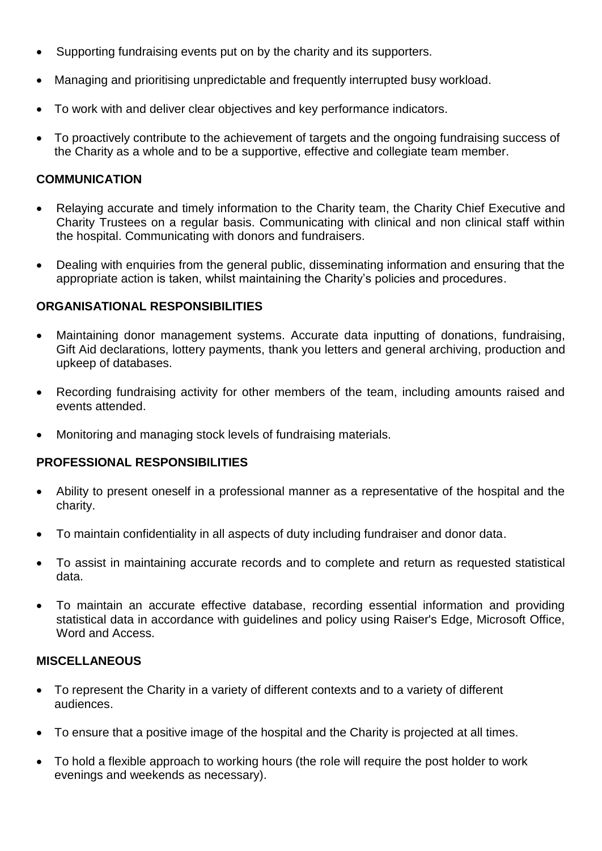- Supporting fundraising events put on by the charity and its supporters.
- Managing and prioritising unpredictable and frequently interrupted busy workload.
- To work with and deliver clear objectives and key performance indicators.
- To proactively contribute to the achievement of targets and the ongoing fundraising success of the Charity as a whole and to be a supportive, effective and collegiate team member.

## **COMMUNICATION**

- Relaying accurate and timely information to the Charity team, the Charity Chief Executive and Charity Trustees on a regular basis. Communicating with clinical and non clinical staff within the hospital. Communicating with donors and fundraisers.
- Dealing with enquiries from the general public, disseminating information and ensuring that the appropriate action is taken, whilst maintaining the Charity's policies and procedures.

### **ORGANISATIONAL RESPONSIBILITIES**

- Maintaining donor management systems. Accurate data inputting of donations, fundraising, Gift Aid declarations, lottery payments, thank you letters and general archiving, production and upkeep of databases.
- Recording fundraising activity for other members of the team, including amounts raised and events attended.
- Monitoring and managing stock levels of fundraising materials.

### **PROFESSIONAL RESPONSIBILITIES**

- Ability to present oneself in a professional manner as a representative of the hospital and the charity.
- To maintain confidentiality in all aspects of duty including fundraiser and donor data.
- To assist in maintaining accurate records and to complete and return as requested statistical data.
- To maintain an accurate effective database, recording essential information and providing statistical data in accordance with guidelines and policy using Raiser's Edge, Microsoft Office, Word and Access.

### **MISCELLANEOUS**

- To represent the Charity in a variety of different contexts and to a variety of different audiences.
- To ensure that a positive image of the hospital and the Charity is projected at all times.
- To hold a flexible approach to working hours (the role will require the post holder to work evenings and weekends as necessary).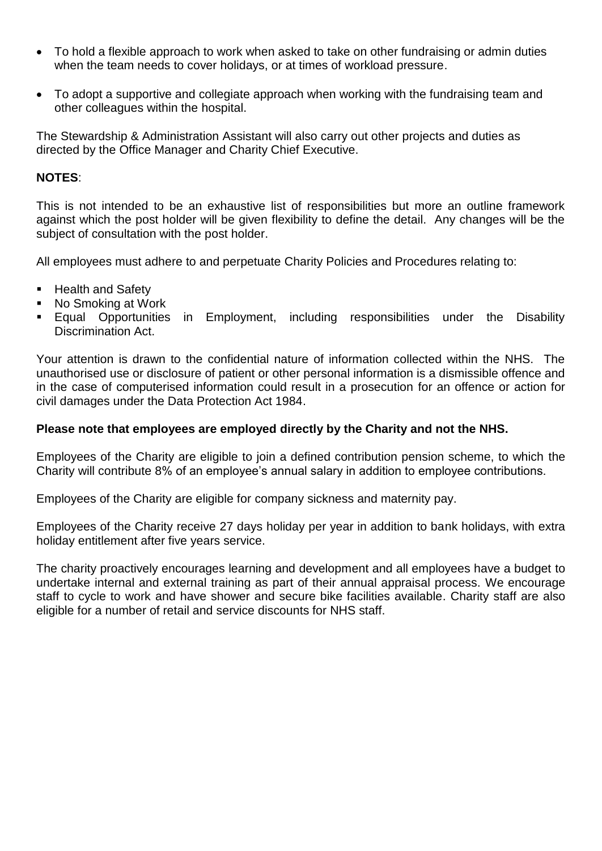- To hold a flexible approach to work when asked to take on other fundraising or admin duties when the team needs to cover holidays, or at times of workload pressure.
- To adopt a supportive and collegiate approach when working with the fundraising team and other colleagues within the hospital.

The Stewardship & Administration Assistant will also carry out other projects and duties as directed by the Office Manager and Charity Chief Executive.

#### **NOTES**:

This is not intended to be an exhaustive list of responsibilities but more an outline framework against which the post holder will be given flexibility to define the detail. Any changes will be the subject of consultation with the post holder.

All employees must adhere to and perpetuate Charity Policies and Procedures relating to:

- Health and Safety
- No Smoking at Work
- Equal Opportunities in Employment, including responsibilities under the Disability Discrimination Act.

Your attention is drawn to the confidential nature of information collected within the NHS. The unauthorised use or disclosure of patient or other personal information is a dismissible offence and in the case of computerised information could result in a prosecution for an offence or action for civil damages under the Data Protection Act 1984.

#### **Please note that employees are employed directly by the Charity and not the NHS.**

Employees of the Charity are eligible to join a defined contribution pension scheme, to which the Charity will contribute 8% of an employee's annual salary in addition to employee contributions.

Employees of the Charity are eligible for company sickness and maternity pay.

Employees of the Charity receive 27 days holiday per year in addition to bank holidays, with extra holiday entitlement after five years service.

The charity proactively encourages learning and development and all employees have a budget to undertake internal and external training as part of their annual appraisal process. We encourage staff to cycle to work and have shower and secure bike facilities available. Charity staff are also eligible for a number of retail and service discounts for NHS staff.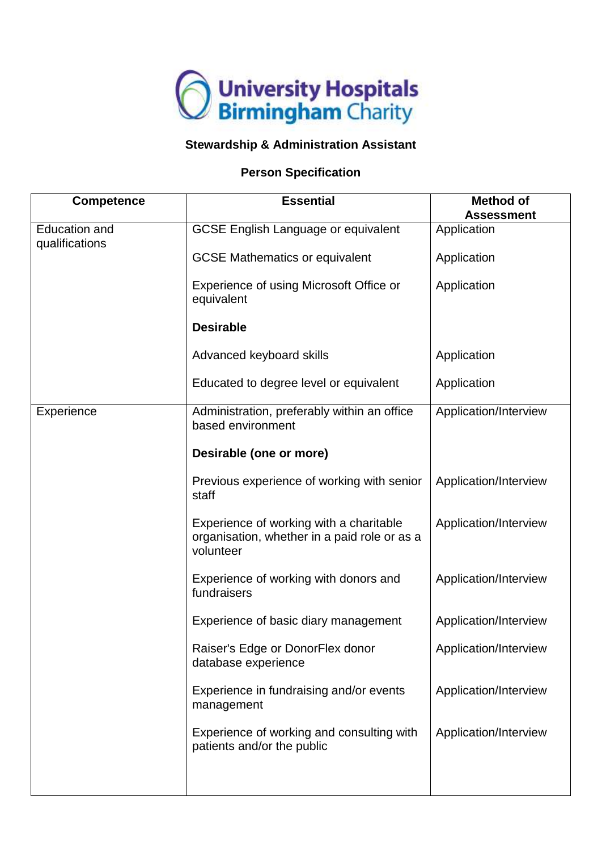

# **Stewardship & Administration Assistant**

#### **Person Specification**

| <b>Competence</b>                      | <b>Essential</b>                                                                                     | <b>Method of</b><br><b>Assessment</b> |
|----------------------------------------|------------------------------------------------------------------------------------------------------|---------------------------------------|
| <b>Education and</b><br>qualifications | <b>GCSE English Language or equivalent</b>                                                           | Application                           |
|                                        | <b>GCSE Mathematics or equivalent</b>                                                                | Application                           |
|                                        | Experience of using Microsoft Office or<br>equivalent                                                | Application                           |
|                                        | <b>Desirable</b>                                                                                     |                                       |
|                                        | Advanced keyboard skills                                                                             | Application                           |
|                                        | Educated to degree level or equivalent                                                               | Application                           |
| Experience                             | Administration, preferably within an office<br>based environment                                     | Application/Interview                 |
|                                        | Desirable (one or more)                                                                              |                                       |
|                                        | Previous experience of working with senior<br>staff                                                  | Application/Interview                 |
|                                        | Experience of working with a charitable<br>organisation, whether in a paid role or as a<br>volunteer | Application/Interview                 |
|                                        | Experience of working with donors and<br>fundraisers                                                 | Application/Interview                 |
|                                        | Experience of basic diary management                                                                 | Application/Interview                 |
|                                        | Raiser's Edge or DonorFlex donor<br>database experience                                              | Application/Interview                 |
|                                        | Experience in fundraising and/or events<br>management                                                | Application/Interview                 |
|                                        | Experience of working and consulting with<br>patients and/or the public                              | Application/Interview                 |
|                                        |                                                                                                      |                                       |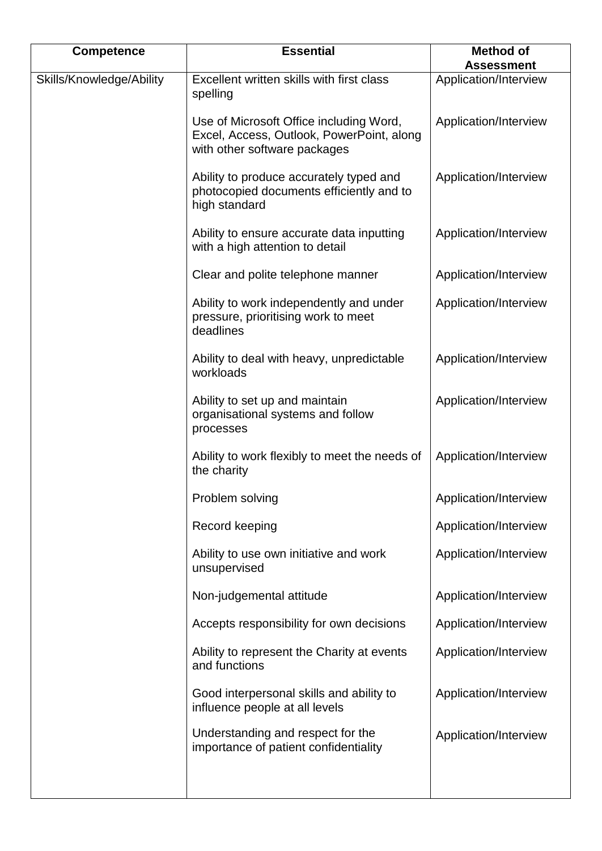| <b>Competence</b>        | <b>Essential</b>                                                                                                     | <b>Method of</b><br><b>Assessment</b> |
|--------------------------|----------------------------------------------------------------------------------------------------------------------|---------------------------------------|
| Skills/Knowledge/Ability | Excellent written skills with first class<br>spelling                                                                | Application/Interview                 |
|                          | Use of Microsoft Office including Word,<br>Excel, Access, Outlook, PowerPoint, along<br>with other software packages | Application/Interview                 |
|                          | Ability to produce accurately typed and<br>photocopied documents efficiently and to<br>high standard                 | Application/Interview                 |
|                          | Ability to ensure accurate data inputting<br>with a high attention to detail                                         | Application/Interview                 |
|                          | Clear and polite telephone manner                                                                                    | Application/Interview                 |
|                          | Ability to work independently and under<br>pressure, prioritising work to meet<br>deadlines                          | Application/Interview                 |
|                          | Ability to deal with heavy, unpredictable<br>workloads                                                               | Application/Interview                 |
|                          | Ability to set up and maintain<br>organisational systems and follow<br>processes                                     | Application/Interview                 |
|                          | Ability to work flexibly to meet the needs of<br>the charity                                                         | Application/Interview                 |
|                          | Problem solving                                                                                                      | Application/Interview                 |
|                          | Record keeping                                                                                                       | Application/Interview                 |
|                          | Ability to use own initiative and work<br>unsupervised                                                               | Application/Interview                 |
|                          | Non-judgemental attitude                                                                                             | Application/Interview                 |
|                          | Accepts responsibility for own decisions                                                                             | Application/Interview                 |
|                          | Ability to represent the Charity at events<br>and functions                                                          | Application/Interview                 |
|                          | Good interpersonal skills and ability to<br>influence people at all levels                                           | Application/Interview                 |
|                          | Understanding and respect for the<br>importance of patient confidentiality                                           | Application/Interview                 |
|                          |                                                                                                                      |                                       |